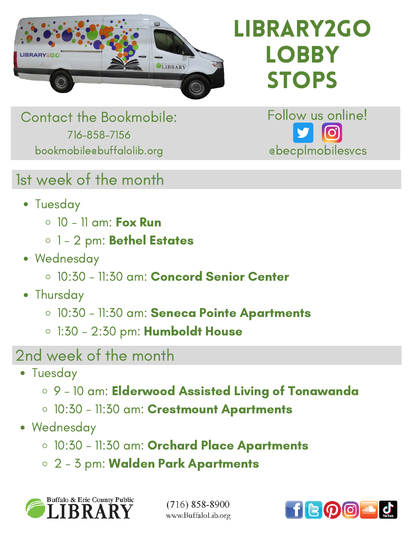

library2go LOBBY **STOPS** 

Follow us online!

@becplmobilesvcs

Contact the Bookmobile: 716-858-7156 bookmobile@buffalolib.org

1st week of the month

- Tuesday
	- $\circ$  10 11 am: Fox Run
	- o 1 2 pm: Bethel Estates
- Wednesday
	- 10:30 11:30 am: Concord Senior Center
- Thursday
	- o 10:30 11:30 am: Seneca Pointe Apartments
	- 0 1:30 2:30 pm: Humboldt House
- 2nd week of the month
	- Tuesday
		- 9 10 am: Elderwood Assisted Living of Tonawanda
		- o 10:30 11:30 am: Crestmount Apartments
	- Wednesday
		- o 10:30 11:30 am: Orchard Place Apartments
		- 2 3 pm: Walden Park Apartments



 $(716)$  858-8900 www.BuffaloLib.org

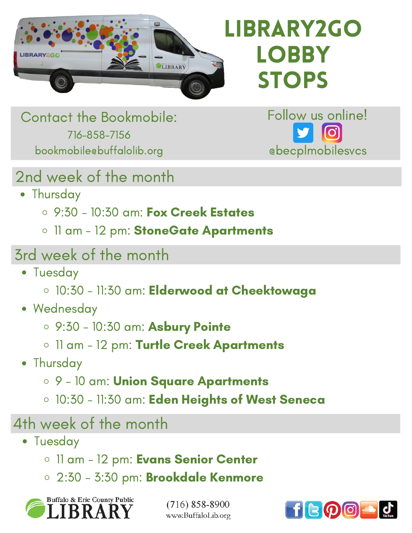

# library2go LOBBY **STOPS**

Contact the Bookmobile: 716-858-7156 bookmobile@buffalolib.org

Follow us online! @becplmobilesvcs

#### 2nd week of the month

- Thursday
	- 9:30 10:30 am: Fox Creek Estates
	- o 11 am 12 pm: StoneGate Apartments

### 3rd week of the month

- Tuesday
	- o 10:30 11:30 am: Elderwood at Cheektowaga
- Wednesday
	- 9:30 10:30 am: Asbury Pointe
	- o 11 am 12 pm: Turtle Creek Apartments
- Thursday
	- 9 10 am: Union Square Apartments
	- o 10:30 11:30 am: Eden Heights of West Seneca

#### 4th week of the month

- Tuesday
	- o 11 am 12 pm: Evans Senior Center
	- 2:30 3:30 pm: Brookdale Kenmore



 $(716)$  858-8900 www.BuffaloLib.org